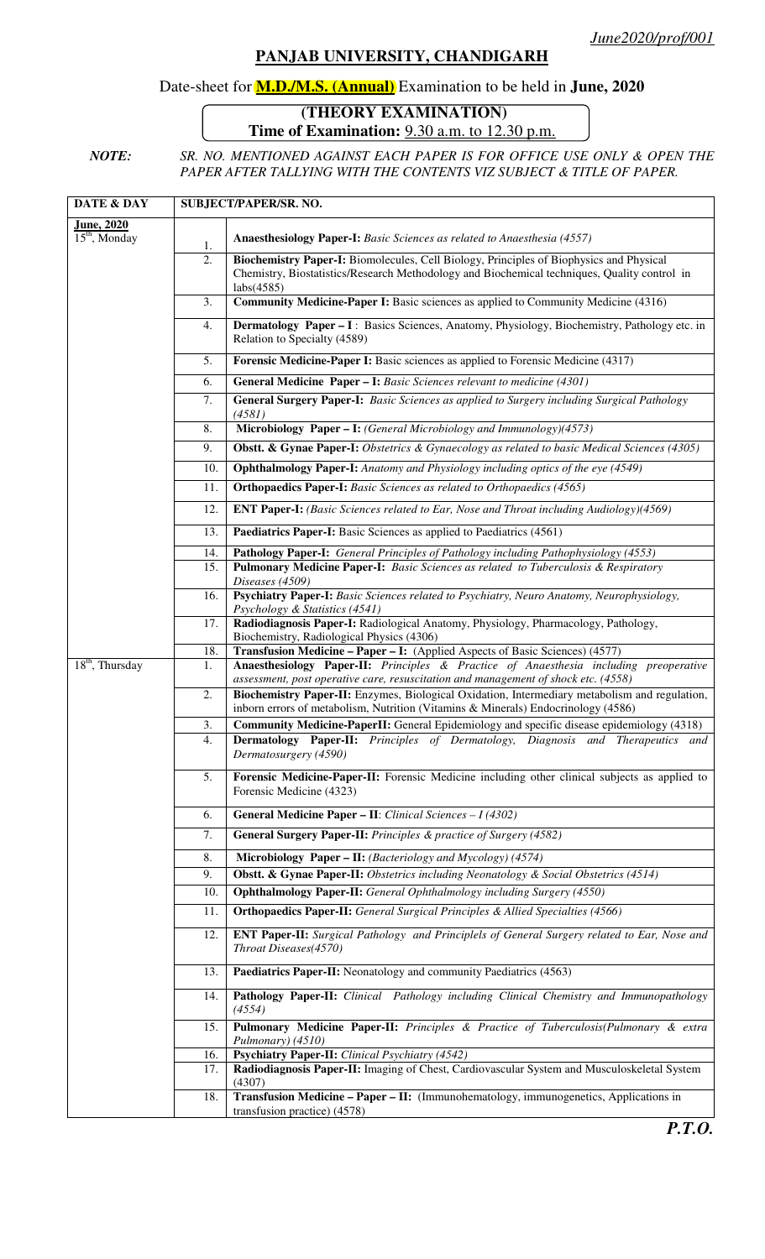## **PANJAB UNIVERSITY, CHANDIGARH**

## Date-sheet for **M.D./M.S. (Annual)** Examination to be held in **June, 2020**

## **(THEORY EXAMINATION) Time of Examination:** 9.30 a.m. to 12.30 p.m.

*NOTE: SR. NO. MENTIONED AGAINST EACH PAPER IS FOR OFFICE USE ONLY & OPEN THE PAPER AFTER TALLYING WITH THE CONTENTS VIZ SUBJECT & TITLE OF PAPER.* 

| DATE & DAY         | <b>SUBJECT/PAPER/SR. NO.</b> |                                                                                                                                                                                                                |
|--------------------|------------------------------|----------------------------------------------------------------------------------------------------------------------------------------------------------------------------------------------------------------|
| <b>June</b> , 2020 |                              |                                                                                                                                                                                                                |
| $15th$ , Monday    | 1.                           | Anaesthesiology Paper-I: Basic Sciences as related to Anaesthesia (4557)                                                                                                                                       |
|                    | 2.                           | Biochemistry Paper-I: Biomolecules, Cell Biology, Principles of Biophysics and Physical<br>Chemistry, Biostatistics/Research Methodology and Biochemical techniques, Quality control in<br>$\text{labs}(4585)$ |
|                    | 3.                           | Community Medicine-Paper I: Basic sciences as applied to Community Medicine (4316)                                                                                                                             |
|                    | 4.                           | Dermatology Paper - I: Basics Sciences, Anatomy, Physiology, Biochemistry, Pathology etc. in<br>Relation to Specialty (4589)                                                                                   |
|                    | 5.                           | Forensic Medicine-Paper I: Basic sciences as applied to Forensic Medicine (4317)                                                                                                                               |
|                    | 6.                           | <b>General Medicine Paper - I:</b> Basic Sciences relevant to medicine (4301)                                                                                                                                  |
|                    | 7.                           | General Surgery Paper-I: Basic Sciences as applied to Surgery including Surgical Pathology<br>(4581)                                                                                                           |
|                    | 8.                           | Microbiology Paper - I: (General Microbiology and Immunology)(4573)                                                                                                                                            |
|                    | 9.                           | Obstt. & Gynae Paper-I: Obstetrics & Gynaecology as related to basic Medical Sciences (4305)                                                                                                                   |
|                    | 10.                          | <b>Ophthalmology Paper-I:</b> Anatomy and Physiology including optics of the eye (4549)                                                                                                                        |
|                    | 11.                          | <b>Orthopaedics Paper-I:</b> Basic Sciences as related to Orthopaedics (4565)                                                                                                                                  |
|                    | 12.                          | <b>ENT Paper-I:</b> (Basic Sciences related to Ear, Nose and Throat including Audiology)(4569)                                                                                                                 |
|                    | 13.                          | Paediatrics Paper-I: Basic Sciences as applied to Paediatrics (4561)                                                                                                                                           |
|                    | 14.                          | Pathology Paper-I: General Principles of Pathology including Pathophysiology (4553)                                                                                                                            |
|                    | 15.                          | Pulmonary Medicine Paper-I: Basic Sciences as related to Tuberculosis & Respiratory<br>Diseases (4509)                                                                                                         |
|                    | 16.                          | Psychiatry Paper-I: Basic Sciences related to Psychiatry, Neuro Anatomy, Neurophysiology,<br>Psychology & Statistics (4541)                                                                                    |
|                    | 17.                          | Radiodiagnosis Paper-I: Radiological Anatomy, Physiology, Pharmacology, Pathology,                                                                                                                             |
|                    | 18.                          | Biochemistry, Radiological Physics (4306)<br>Transfusion Medicine - Paper - I: (Applied Aspects of Basic Sciences) (4577)                                                                                      |
| $18th$ , Thursday  | 1.                           | Anaesthesiology Paper-II: Principles & Practice of Anaesthesia including preoperative<br>assessment, post operative care, resuscitation and management of shock etc. (4558)                                    |
|                    | 2.                           | Biochemistry Paper-II: Enzymes, Biological Oxidation, Intermediary metabolism and regulation,<br>inborn errors of metabolism, Nutrition (Vitamins & Minerals) Endocrinology (4586)                             |
|                    | 3.                           | <b>Community Medicine-PaperII:</b> General Epidemiology and specific disease epidemiology (4318)                                                                                                               |
|                    | 4.                           | Dermatology Paper-II: Principles of Dermatology, Diagnosis and Therapeutics and<br>Dermatosurgery (4590)                                                                                                       |
|                    | 5.                           | Forensic Medicine-Paper-II: Forensic Medicine including other clinical subjects as applied to<br>Forensic Medicine (4323)                                                                                      |
|                    | 6.                           | General Medicine Paper - II: Clinical Sciences - I (4302)                                                                                                                                                      |
|                    | 7.                           | <b>General Surgery Paper-II:</b> Principles & practice of Surgery (4582)                                                                                                                                       |
|                    | 8.                           | Microbiology Paper - II: (Bacteriology and Mycology) (4574)                                                                                                                                                    |
|                    | 9.                           | Obstt. & Gynae Paper-II: Obstetrics including Neonatology & Social Obstetrics (4514)                                                                                                                           |
|                    | 10.                          | <b>Ophthalmology Paper-II:</b> General Ophthalmology including Surgery (4550)                                                                                                                                  |
|                    | 11.                          | <b>Orthopaedics Paper-II:</b> General Surgical Principles & Allied Specialties (4566)                                                                                                                          |
|                    | 12.                          | <b>ENT Paper-II:</b> Surgical Pathology and Principlels of General Surgery related to Ear, Nose and<br>Throat Diseases(4570)                                                                                   |
|                    | 13.                          | Paediatrics Paper-II: Neonatology and community Paediatrics (4563)                                                                                                                                             |
|                    | 14.                          | Pathology Paper-II: Clinical Pathology including Clinical Chemistry and Immunopathology<br>(4554)                                                                                                              |
|                    | 15.                          | Pulmonary Medicine Paper-II: Principles & Practice of Tuberculosis(Pulmonary & extra<br>Pulmonary) (4510)                                                                                                      |
|                    | 16.                          | Psychiatry Paper-II: Clinical Psychiatry (4542)                                                                                                                                                                |
|                    | 17.                          | Radiodiagnosis Paper-II: Imaging of Chest, Cardiovascular System and Musculoskeletal System<br>(4307)                                                                                                          |
|                    | 18.                          | Transfusion Medicine - Paper - II: (Immunohematology, immunogenetics, Applications in<br>transfusion practice) (4578)                                                                                          |